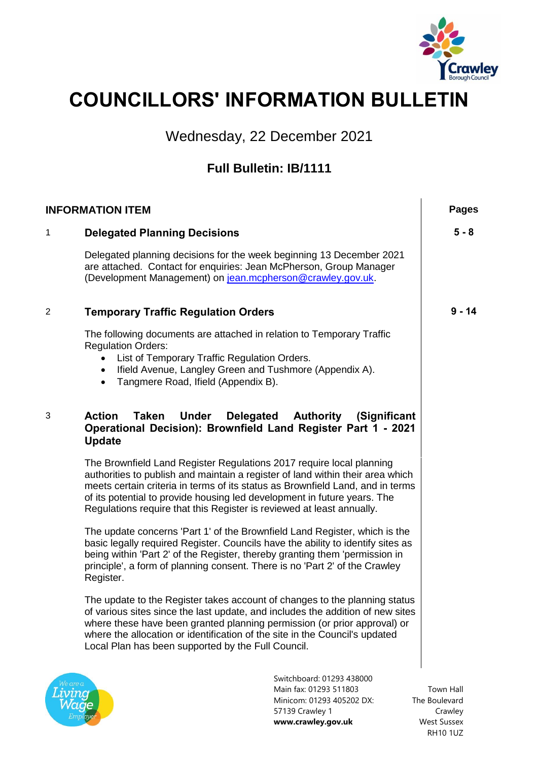

# **COUNCILLORS' INFORMATION BULLETIN**

Wednesday, 22 December 2021

## **Full Bulletin: IB/1111**

| <b>INFORMATION ITEM</b> |                                                                                                                                                                                                                                                                                                                                                                                               | <b>Pages</b>               |
|-------------------------|-----------------------------------------------------------------------------------------------------------------------------------------------------------------------------------------------------------------------------------------------------------------------------------------------------------------------------------------------------------------------------------------------|----------------------------|
| 1                       | <b>Delegated Planning Decisions</b>                                                                                                                                                                                                                                                                                                                                                           | $5 - 8$                    |
|                         | Delegated planning decisions for the week beginning 13 December 2021<br>are attached. Contact for enquiries: Jean McPherson, Group Manager<br>(Development Management) on jean.mcpherson@crawley.gov.uk.                                                                                                                                                                                      |                            |
| 2                       | <b>Temporary Traffic Regulation Orders</b>                                                                                                                                                                                                                                                                                                                                                    | $9 - 14$                   |
|                         | The following documents are attached in relation to Temporary Traffic<br><b>Regulation Orders:</b><br>List of Temporary Traffic Regulation Orders.<br>Ifield Avenue, Langley Green and Tushmore (Appendix A).<br>$\bullet$<br>Tangmere Road, Ifield (Appendix B).<br>$\bullet$                                                                                                                |                            |
| 3                       | <b>Action</b><br>Taken<br><b>Under</b><br><b>Delegated Authority</b><br>(Significant<br>Operational Decision): Brownfield Land Register Part 1 - 2021<br><b>Update</b>                                                                                                                                                                                                                        |                            |
|                         | The Brownfield Land Register Regulations 2017 require local planning<br>authorities to publish and maintain a register of land within their area which<br>meets certain criteria in terms of its status as Brownfield Land, and in terms<br>of its potential to provide housing led development in future years. The<br>Regulations require that this Register is reviewed at least annually. |                            |
|                         | The update concerns 'Part 1' of the Brownfield Land Register, which is the<br>basic legally required Register. Councils have the ability to identify sites as<br>being within 'Part 2' of the Register, thereby granting them 'permission in<br>principle', a form of planning consent. There is no 'Part 2' of the Crawley<br>Register.                                                      |                            |
|                         | The update to the Register takes account of changes to the planning status<br>of various sites since the last update, and includes the addition of new sites<br>where these have been granted planning permission (or prior approval) or<br>where the allocation or identification of the site in the Council's updated<br>Local Plan has been supported by the Full Council.                 |                            |
| Ve are a                | Switchboard: 01293 438000<br>Main fax: 01293 511803<br>Minicom: 01293 405202 DX:                                                                                                                                                                                                                                                                                                              | Town Hall<br>The Boulevard |

57139 Crawley 1 **www.crawley.gov.uk** The Boulevard Crawley West Sussex RH10 1UZ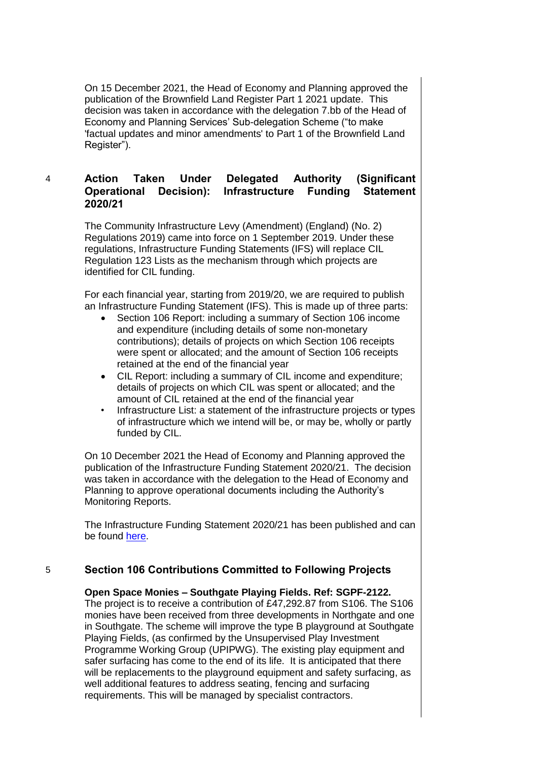On 15 December 2021, the Head of Economy and Planning approved the publication of the Brownfield Land Register Part 1 2021 update. This decision was taken in accordance with the delegation 7.bb of the Head of Economy and Planning Services' Sub-delegation Scheme ("to make 'factual updates and minor amendments' to Part 1 of the Brownfield Land Register").

#### 4 **Action Taken Under Delegated Authority (Significant Operational Decision): Infrastructure Funding Statement 2020/21**

The Community Infrastructure Levy (Amendment) (England) (No. 2) Regulations 2019) came into force on 1 September 2019. Under these regulations, Infrastructure Funding Statements (IFS) will replace CIL Regulation 123 Lists as the mechanism through which projects are identified for CIL funding.

For each financial year, starting from 2019/20, we are required to publish an Infrastructure Funding Statement (IFS). This is made up of three parts:

- Section 106 Report: including a summary of Section 106 income and expenditure (including details of some non-monetary contributions); details of projects on which Section 106 receipts were spent or allocated; and the amount of Section 106 receipts retained at the end of the financial year
- CIL Report: including a summary of CIL income and expenditure; details of projects on which CIL was spent or allocated; and the amount of CIL retained at the end of the financial year
- Infrastructure List: a statement of the infrastructure projects or types of infrastructure which we intend will be, or may be, wholly or partly funded by CIL.

On 10 December 2021 the Head of Economy and Planning approved the publication of the Infrastructure Funding Statement 2020/21. The decision was taken in accordance with the delegation to the Head of Economy and Planning to approve operational documents including the Authority's Monitoring Reports.

The Infrastructure Funding Statement 2020/21 has been published and can be found [here.](https://crawley.gov.uk/sites/default/files/2021-12/Infrastructure%20Funding%20Statement%202020_21_0.pdf)

### 5 **Section 106 Contributions Committed to Following Projects**

**Open Space Monies – Southgate Playing Fields. Ref: SGPF-2122.** 

The project is to receive a contribution of £47,292.87 from S106. The S106 monies have been received from three developments in Northgate and one in Southgate. The scheme will improve the type B playground at Southgate Playing Fields, (as confirmed by the Unsupervised Play Investment Programme Working Group (UPIPWG). The existing play equipment and safer surfacing has come to the end of its life. It is anticipated that there will be replacements to the playground equipment and safety surfacing, as well additional features to address seating, fencing and surfacing requirements. This will be managed by specialist contractors.